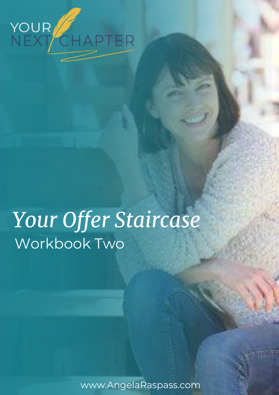

# *Your Offer Staircase* Workbook Two

www.AngelaRaspass.com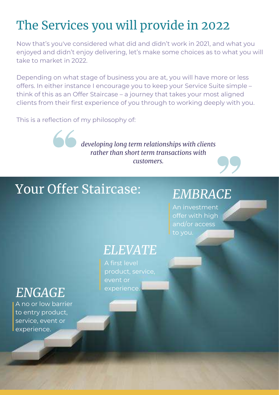## The Services you will provide in 2022

Now that's you've considered what did and didn't work in 2021, and what you enjoyed and didn't enjoy delivering, let's make some choices as to what you will take to market in 2022.

Depending on what stage of business you are at, you will have more or less offers. In either instance I encourage you to keep your Service Suite simple – think of this as an Offer Staircase – a journey that takes your most aligned clients from their first experience of you through to working deeply with you.

This is a reflection of my philosophy of:

*developing long term relationships with clients rather than short term transactions with customers.*

## Your Offer Staircase:

## *EMBRACE*

An investment offer with high and/or access to you.

## *ELEVATE*

A first level product, service, event or experience.

## *ENGAGE*

A no or low barrier to entry product, service, event or experience.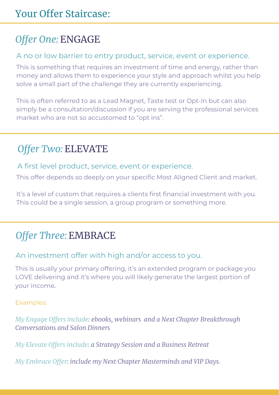## *Offer One:* ENGAGE

#### A no or low barrier to entry product, service, event or experience.

This is something that requires an investment of time and energy, rather than money and allows them to experience your style and approach whilst you help solve a small part of the challenge they are currently experiencing.

This is often referred to as a Lead Magnet, Taste test or Opt-In but can also simply be a consultation/discussion if you are serving the professional services market who are not so accustomed to "opt ins".

### *Offer Two:* ELEVATE

A first level product, service, event or experience.

This offer depends so deeply on your specific Most Aligned Client and market.

It's a level of custom that requires a clients first financial investment with you. This could be a single session, a group program or something more.

### *Offer Three:* EMBRACE

#### An investment offer with high and/or access to you.

This is usually your primary offering, it's an extended program or package you LOVE delivering and it's where you will likely generate the largest portion of your income.

Examples:

*My Engage Offers include: ebooks, webinars and a Next Chapter Breakthrough Conversations and Salon Dinners*

*My Elevate Offers include: a Strategy Session and a Business Retreat*

*My Embrace Offer: include my Next Chapter Masterminds and VIP Days.*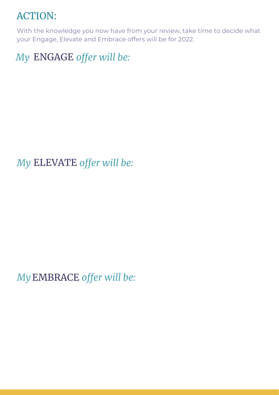### ACTION:

With the knowledge you now have from your review, take time to decide what your Engage, Elevate and Embrace offers will be for 2022.

*My* ENGAGE offer will be:

*My ELEVATE offer will be:* 

*My offer will be:*  EMBRACE